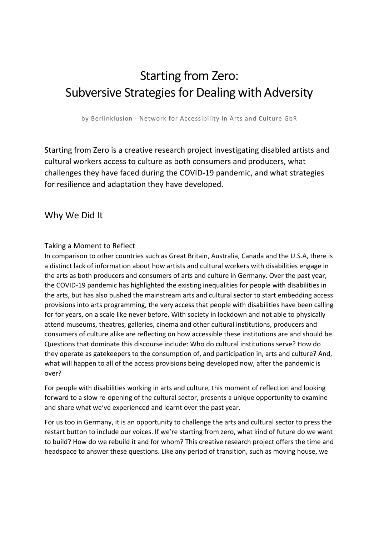# Starting from Zero: Subversive Strategies for Dealing with Adversity

by Berlinklusion ‐ Network for Accessibility in Arts and Culture GbR

Starting from Zero is a creative research project investigating disabled artists and cultural workers access to culture as both consumers and producers, what challenges they have faced during the COVID‐19 pandemic, and what strategies for resilience and adaptation they have developed.

### Why We Did It

#### Taking a Moment to Reflect

In comparison to other countries such as Great Britain, Australia, Canada and the U.S.A, there is a distinct lack of information about how artists and cultural workers with disabilities engage in the arts as both producers and consumers of arts and culture in Germany. Over the past year, the COVID‐19 pandemic has highlighted the existing inequalities for people with disabilities in the arts, but has also pushed the mainstream arts and cultural sector to start embedding access provisions into arts programming, the very access that people with disabilities have been calling for for years, on a scale like never before. With society in lockdown and not able to physically attend museums, theatres, galleries, cinema and other cultural institutions, producers and consumers of culture alike are reflecting on how accessible these institutions are and should be. Questions that dominate this discourse include: Who do cultural institutions serve? How do they operate as gatekeepers to the consumption of, and participation in, arts and culture? And, what will happen to all of the access provisions being developed now, after the pandemic is over?

For people with disabilities working in arts and culture, this moment of reflection and looking forward to a slow re-opening of the cultural sector, presents a unique opportunity to examine and share what we've experienced and learnt over the past year.

For us too in Germany, it is an opportunity to challenge the arts and cultural sector to press the restart button to include our voices. If we're starting from zero, what kind of future do we want to build? How do we rebuild it and for whom? This creative research project offers the time and headspace to answer these questions. Like any period of transition, such as moving house, we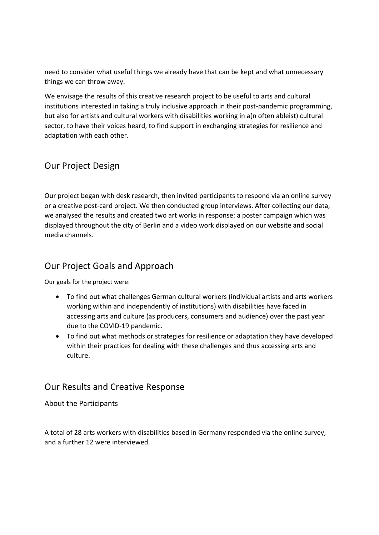need to consider what useful things we already have that can be kept and what unnecessary things we can throw away.

We envisage the results of this creative research project to be useful to arts and cultural institutions interested in taking a truly inclusive approach in their post-pandemic programming, but also for artists and cultural workers with disabilities working in a(n often ableist) cultural sector, to have their voices heard, to find support in exchanging strategies for resilience and adaptation with each other.

### Our Project Design

Our project began with desk research, then invited participants to respond via an online survey or a creative post-card project. We then conducted group interviews. After collecting our data, we analysed the results and created two art works in response: a poster campaign which was displayed throughout the city of Berlin and a video work displayed on our website and social media channels.

## Our Project Goals and Approach

Our goals for the project were:

- To find out what challenges German cultural workers (individual artists and arts workers working within and independently of institutions) with disabilities have faced in accessing arts and culture (as producers, consumers and audience) over the past year due to the COVID‐19 pandemic.
- To find out what methods or strategies for resilience or adaptation they have developed within their practices for dealing with these challenges and thus accessing arts and culture.

### Our Results and Creative Response

About the Participants

A total of 28 arts workers with disabilities based in Germany responded via the online survey, and a further 12 were interviewed.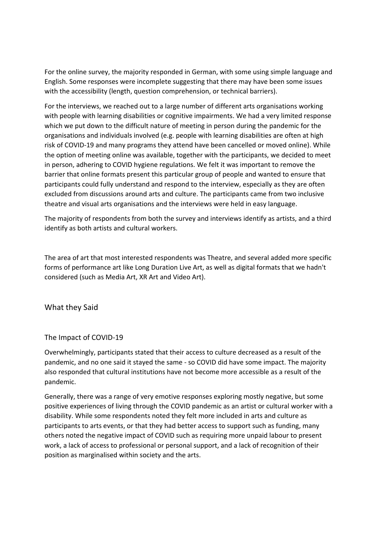For the online survey, the majority responded in German, with some using simple language and English. Some responses were incomplete suggesting that there may have been some issues with the accessibility (length, question comprehension, or technical barriers).

For the interviews, we reached out to a large number of different arts organisations working with people with learning disabilities or cognitive impairments. We had a very limited response which we put down to the difficult nature of meeting in person during the pandemic for the organisations and individuals involved (e.g. people with learning disabilities are often at high risk of COVID‐19 and many programs they attend have been cancelled or moved online). While the option of meeting online was available, together with the participants, we decided to meet in person, adhering to COVID hygiene regulations. We felt it was important to remove the barrier that online formats present this particular group of people and wanted to ensure that participants could fully understand and respond to the interview, especially as they are often excluded from discussions around arts and culture. The participants came from two inclusive theatre and visual arts organisations and the interviews were held in easy language.

The majority of respondents from both the survey and interviews identify as artists, and a third identify as both artists and cultural workers.

The area of art that most interested respondents was Theatre, and several added more specific forms of performance art like Long Duration Live Art, as well as digital formats that we hadn't considered (such as Media Art, XR Art and Video Art).

What they Said

The Impact of COVID‐19

Overwhelmingly, participants stated that their access to culture decreased as a result of the pandemic, and no one said it stayed the same ‐ so COVID did have some impact. The majority also responded that cultural institutions have not become more accessible as a result of the pandemic.

Generally, there was a range of very emotive responses exploring mostly negative, but some positive experiences of living through the COVID pandemic as an artist or cultural worker with a disability. While some respondents noted they felt more included in arts and culture as participants to arts events, or that they had better access to support such as funding, many others noted the negative impact of COVID such as requiring more unpaid labour to present work, a lack of access to professional or personal support, and a lack of recognition of their position as marginalised within society and the arts.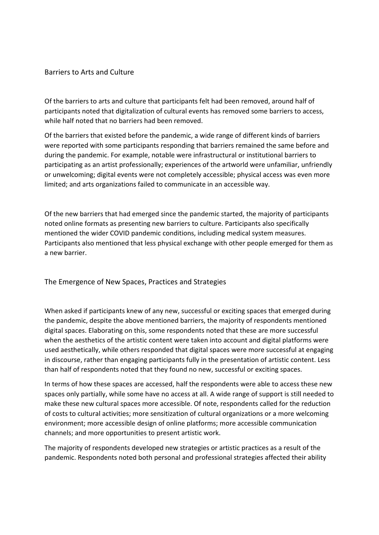#### Barriers to Arts and Culture

Of the barriers to arts and culture that participants felt had been removed, around half of participants noted that digitalization of cultural events has removed some barriers to access, while half noted that no barriers had been removed.

Of the barriers that existed before the pandemic, a wide range of different kinds of barriers were reported with some participants responding that barriers remained the same before and during the pandemic. For example, notable were infrastructural or institutional barriers to participating as an artist professionally; experiences of the artworld were unfamiliar, unfriendly or unwelcoming; digital events were not completely accessible; physical access was even more limited; and arts organizations failed to communicate in an accessible way.

Of the new barriers that had emerged since the pandemic started, the majority of participants noted online formats as presenting new barriers to culture. Participants also specifically mentioned the wider COVID pandemic conditions, including medical system measures. Participants also mentioned that less physical exchange with other people emerged for them as a new barrier.

The Emergence of New Spaces, Practices and Strategies

When asked if participants knew of any new, successful or exciting spaces that emerged during the pandemic, despite the above mentioned barriers, the majority of respondents mentioned digital spaces. Elaborating on this, some respondents noted that these are more successful when the aesthetics of the artistic content were taken into account and digital platforms were used aesthetically, while others responded that digital spaces were more successful at engaging in discourse, rather than engaging participants fully in the presentation of artistic content. Less than half of respondents noted that they found no new, successful or exciting spaces.

In terms of how these spaces are accessed, half the respondents were able to access these new spaces only partially, while some have no access at all. A wide range of support is still needed to make these new cultural spaces more accessible. Of note, respondents called for the reduction of costs to cultural activities; more sensitization of cultural organizations or a more welcoming environment; more accessible design of online platforms; more accessible communication channels; and more opportunities to present artistic work.

The majority of respondents developed new strategies or artistic practices as a result of the pandemic. Respondents noted both personal and professional strategies affected their ability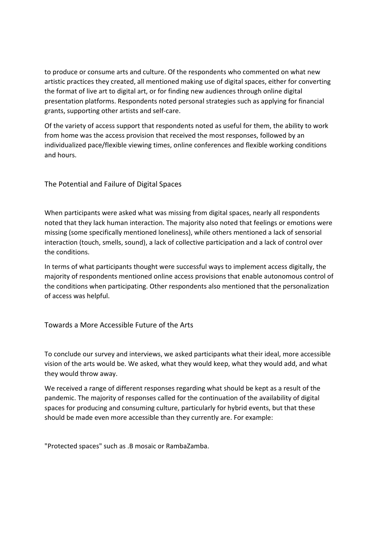to produce or consume arts and culture. Of the respondents who commented on what new artistic practices they created, all mentioned making use of digital spaces, either for converting the format of live art to digital art, or for finding new audiences through online digital presentation platforms. Respondents noted personal strategies such as applying for financial grants, supporting other artists and self‐care.

Of the variety of access support that respondents noted as useful for them, the ability to work from home was the access provision that received the most responses, followed by an individualized pace/flexible viewing times, online conferences and flexible working conditions and hours.

The Potential and Failure of Digital Spaces

When participants were asked what was missing from digital spaces, nearly all respondents noted that they lack human interaction. The majority also noted that feelings or emotions were missing (some specifically mentioned loneliness), while others mentioned a lack of sensorial interaction (touch, smells, sound), a lack of collective participation and a lack of control over the conditions.

In terms of what participants thought were successful ways to implement access digitally, the majority of respondents mentioned online access provisions that enable autonomous control of the conditions when participating. Other respondents also mentioned that the personalization of access was helpful.

Towards a More Accessible Future of the Arts

To conclude our survey and interviews, we asked participants what their ideal, more accessible vision of the arts would be. We asked, what they would keep, what they would add, and what they would throw away.

We received a range of different responses regarding what should be kept as a result of the pandemic. The majority of responses called for the continuation of the availability of digital spaces for producing and consuming culture, particularly for hybrid events, but that these should be made even more accessible than they currently are. For example:

"Protected spaces" such as .B mosaic or RambaZamba.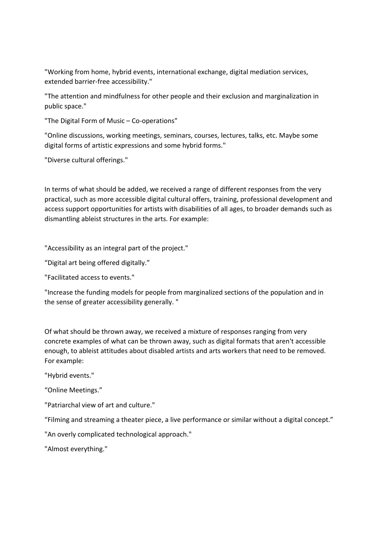"Working from home, hybrid events, international exchange, digital mediation services, extended barrier‐free accessibility."

"The attention and mindfulness for other people and their exclusion and marginalization in public space."

"The Digital Form of Music – Co‐operations"

"Online discussions, working meetings, seminars, courses, lectures, talks, etc. Maybe some digital forms of artistic expressions and some hybrid forms."

"Diverse cultural offerings."

In terms of what should be added, we received a range of different responses from the very practical, such as more accessible digital cultural offers, training, professional development and access support opportunities for artists with disabilities of all ages, to broader demands such as dismantling ableist structures in the arts. For example:

"Accessibility as an integral part of the project."

"Digital art being offered digitally."

"Facilitated access to events."

"Increase the funding models for people from marginalized sections of the population and in the sense of greater accessibility generally. "

Of what should be thrown away, we received a mixture of responses ranging from very concrete examples of what can be thrown away, such as digital formats that aren't accessible enough, to ableist attitudes about disabled artists and arts workers that need to be removed. For example:

"Hybrid events."

"Online Meetings."

"Patriarchal view of art and culture."

"Filming and streaming a theater piece, a live performance or similar without a digital concept."

"An overly complicated technological approach."

"Almost everything."